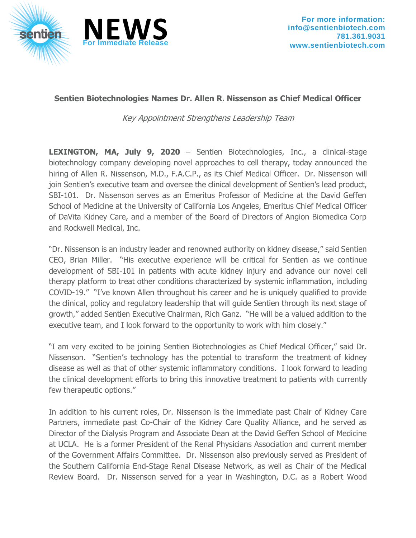

## **Sentien Biotechnologies Names Dr. Allen R. Nissenson as Chief Medical Officer**

Key Appointment Strengthens Leadership Team

**LEXINGTON, MA, July 9, 2020** – Sentien Biotechnologies, Inc., a clinical-stage biotechnology company developing novel approaches to cell therapy, today announced the hiring of Allen R. Nissenson, M.D., F.A.C.P., as its Chief Medical Officer. Dr. Nissenson will join Sentien's executive team and oversee the clinical development of Sentien's lead product, SBI-101. Dr. Nissenson serves as an Emeritus Professor of Medicine at the David Geffen School of Medicine at the University of California Los Angeles, Emeritus Chief Medical Officer of DaVita Kidney Care, and a member of the Board of Directors of Angion Biomedica Corp and Rockwell Medical, Inc.

"Dr. Nissenson is an industry leader and renowned authority on kidney disease," said Sentien CEO, Brian Miller. "His executive experience will be critical for Sentien as we continue development of SBI-101 in patients with acute kidney injury and advance our novel cell therapy platform to treat other conditions characterized by systemic inflammation, including COVID-19." "I've known Allen throughout his career and he is uniquely qualified to provide the clinical, policy and regulatory leadership that will guide Sentien through its next stage of growth," added Sentien Executive Chairman, Rich Ganz. "He will be a valued addition to the executive team, and I look forward to the opportunity to work with him closely."

"I am very excited to be joining Sentien Biotechnologies as Chief Medical Officer," said Dr. Nissenson. "Sentien's technology has the potential to transform the treatment of kidney disease as well as that of other systemic inflammatory conditions. I look forward to leading the clinical development efforts to bring this innovative treatment to patients with currently few therapeutic options."

In addition to his current roles, Dr. Nissenson is the immediate past Chair of Kidney Care Partners, immediate past Co-Chair of the Kidney Care Quality Alliance, and he served as Director of the Dialysis Program and Associate Dean at the David Geffen School of Medicine at UCLA. He is a former President of the Renal Physicians Association and current member of the Government Affairs Committee. Dr. Nissenson also previously served as President of the Southern California End-Stage Renal Disease Network, as well as Chair of the Medical Review Board. Dr. Nissenson served for a year in Washington, D.C. as a Robert Wood